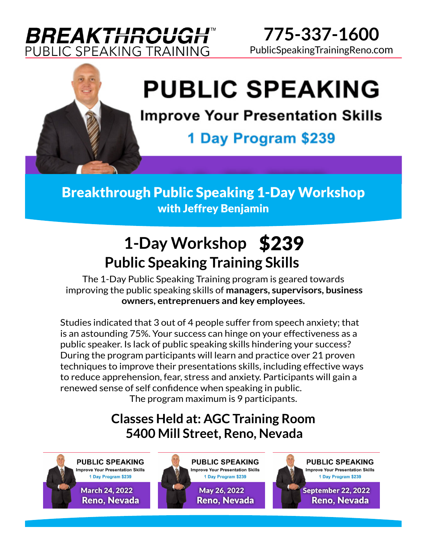# **BREAKTHROUGH™** PUBLIC SPEAKING TRAINING

**775-337-1600** PublicSpeakingTrainingReno.com



# **PUBLIC SPEAKING**

**Improve Your Presentation Skills** 

1 Day Program \$239

Breakthrough Public Speaking 1-Day Workshop with Jeffrey Benjamin

# **1-Day Workshop** \$239 **Public Speaking Training Skills**

The 1-Day Public Speaking Training program is geared towards improving the public speaking skills of **managers, supervisors, business owners, entreprenuers and key employees.**

Studies indicated that 3 out of 4 people suffer from speech anxiety; that is an astounding 75%. Your success can hinge on your effectiveness as a public speaker. Is lack of public speaking skills hindering your success? During the program participants will learn and practice over 21 proven techniques to improve their presentations skills, including effective ways to reduce apprehension, fear, stress and anxiety. Participants will gain a renewed sense of self confidence when speaking in public.

The program maximum is 9 participants.

#### **5400 Mill Street, Reno, Nevada Classes Held at: AGC Training Room**

**PUBLIC SPEAKING Improve Your Presentation Skills** 1 Day Program \$239

> **March 24, 2022 Reno, Nevada**





September 22, 2022 **Reno, Nevada**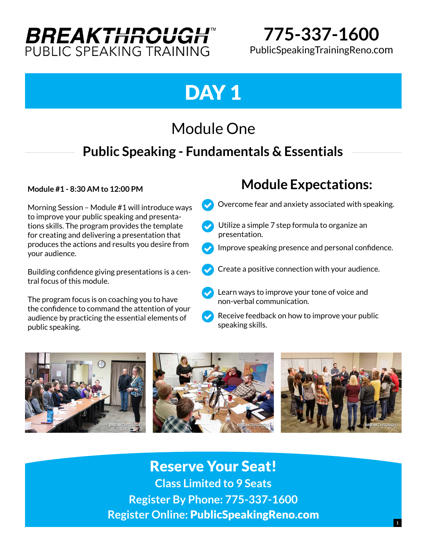# **BREAKTHROUGH** PUBLIC SPEAKING TRAINING

**775-337-1600** PublicSpeakingTrainingReno.com

# DAY<sub>1</sub>

# Module One

### **Public Speaking - Fundamentals & Essentials**

Morning Session – Module #1 will introduce ways to improve your public speaking and presentations skills. The program provides the template for creating and delivering a presentation that produces the actions and results you desire from your audience.

Building confidence giving presentations is a central focus of this module.

The program focus is on coaching you to have the confidence to command the attention of your audience by practicing the essential elements of public speaking.

#### **Module #1 - Module Expectations: 8:30 AM to 12:00 PM**

- Overcome fear and anxiety associated with speaking.  $\checkmark$
- Utilize a simple 7 step formula to organize an presentation.  $\checkmark$
- Improve speaking presence and personal confidence.  $\checkmark$
- Create a positive connection with your audience.  $\checkmark$
- Learn ways to improve your tone of voice and non-verbal communication.  $\checkmark$
- Receive feedback on how to improve your public speaking skills.  $\checkmark$



#### Reserve Your Seat!

**Class Limited to 9 Seats Register By Phone: 775-337-1600 Register Online:** PublicSpeakingReno.com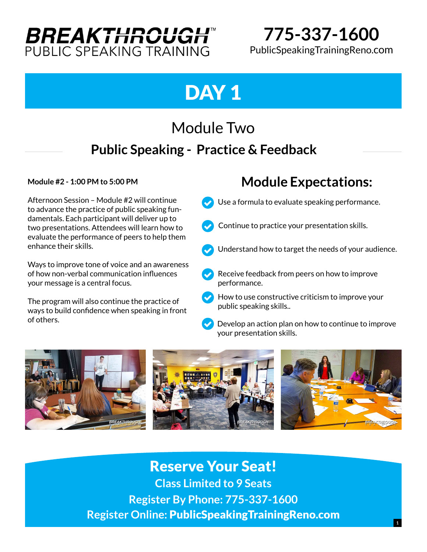# **BREAKTHROUGH™** PUBLIC SPEAKING TRAINING

**775-337-1600** PublicSpeakingTrainingReno.com

# DAY<sub>1</sub>

# Module Two  **Public Speaking - Practice & Feedback**

Afternoon Session – Module #2 will continue to advance the practice of public speaking fundamentals. Each participant will deliver up to two presentations. Attendees will learn how to evaluate the performance of peers to help them enhance their skills.

Ways to improve tone of voice and an awareness of how non-verbal communication influences your message is a central focus.

The program will also continue the practice of ways to build confidence when speaking in front of others.

#### **Module #2 - 1:00 PM to 5:00 PM Module Expectations:**

- Use a formula to evaluate speaking performance.  $\checkmark$
- Continue to practice your presentation skills.  $\checkmark$
- Understand how to target the needs of your audience.  $\checkmark$
- Receive feedback from peers on how to improve performance.  $\checkmark$
- $\blacktriangleright$  How to use constructive criticism to improve your public speaking skills..
- Develop an action plan on how to continue to improve your presentation skills.  $\checkmark$



#### Reserve Your Seat!

**Class Limited to 9 Seats Register By Phone: 775-337-1600 Register Online:** PublicSpeakingTrainingReno.com